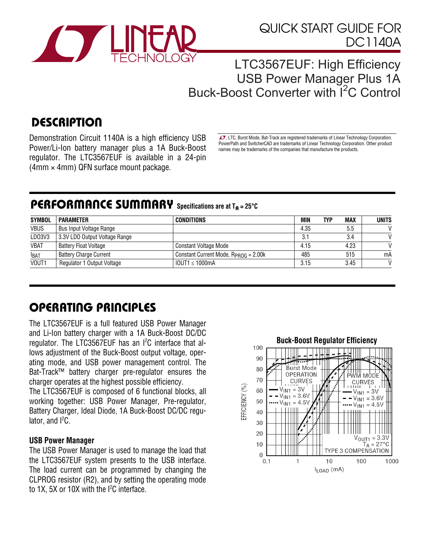

## LTC3567EUF: High Efficiency USB Power Manager Plus 1A Buck-Boost Converter with <sup>12</sup>C Control

# **DESCRIPTION**

Demonstration Circuit 1140A is a high efficiency USB Power/Li-Ion battery manager plus a 1A Buck-Boost regulator. The LTC3567EUF is available in a 24-pin (4mm × 4mm) QFN surface mount package.

 $\sqrt{J}$ , LTC, Burst Mode, Bat-Track are registered trademarks of Linear Technology Corporation. PowerPath and SwitcherCAD are trademarks of Linear Technology Corporation. Other product names may be trademarks of the companies that manufacture the products.

## PERFORMANCE SUMMARY **Specifications are at T**A **= 25°C**

| <b>SYMBOL</b> | <b>PARAMETER</b>               | CONDITIONS                                | <b>MIN</b> | <b>MAX</b><br><b>TYP</b> | <b>UNITS</b> |
|---------------|--------------------------------|-------------------------------------------|------------|--------------------------|--------------|
| <b>VBUS</b>   | <b>Bus Input Voltage Range</b> |                                           | 4.35       | 5.5                      |              |
| LD03V3        | 3.3V LDO Output Voltage Range  |                                           | 3.1        | 3.4                      |              |
| <b>VBAT</b>   | <b>Battery Float Voltage</b>   | Constant Voltage Mode                     | 4.15       | 4.23                     |              |
| <b>IBAT</b>   | <b>Battery Charge Current</b>  | Constant Current Mode, $R_{PROG} = 2.00k$ | 485        | 515                      | mA           |
| VOUT1         | Regulator 1 Output Voltage     | $10$ UT1 $\leq 1000$ mA                   | 3.15       | 3.45                     |              |

# OPERATING PRINCIPLES

The LTC3567EUF is a full featured USB Power Manager and Li-Ion battery charger with a 1A Buck-Boost DC/DC regulator. The LTC3567EUF has an I<sup>2</sup>C interface that allows adjustment of the Buck-Boost output voltage, operating mode, and USB power management control. The Bat-Track™ battery charger pre-regulator ensures the charger operates at the highest possible efficiency.

The LTC3567EUF is composed of 6 functional blocks, all working together: USB Power Manager, Pre-regulator, Battery Charger, Ideal Diode, 1A Buck-Boost DC/DC regulator, and  $l^2C$ .

#### **USB Power Manager**

The USB Power Manager is used to manage the load that the LTC3567EUF system presents to the USB interface. The load current can be programmed by changing the CLPROG resistor (R2), and by setting the operating mode to 1X, 5X or 10X with the  $l^2C$  interface.

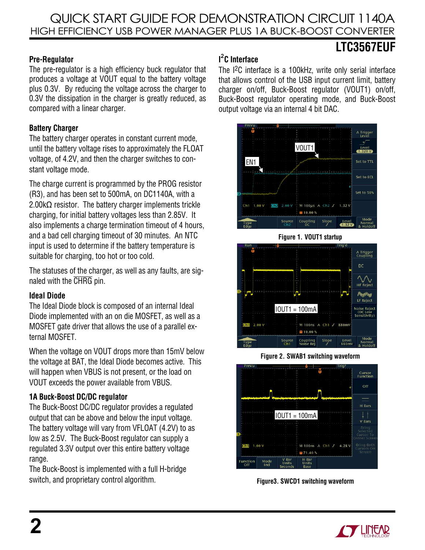### **Pre-Regulator**

The pre-regulator is a high efficiency buck regulator that produces a voltage at VOUT equal to the battery voltage plus 0.3V. By reducing the voltage across the charger to 0.3V the dissipation in the charger is greatly reduced, as compared with a linear charger.

### **Battery Charger**

The battery charger operates in constant current mode, until the battery voltage rises to approximately the FLOAT voltage, of 4.2V, and then the charger switches to constant voltage mode.

The charge current is programmed by the PROG resistor (R3), and has been set to 500mA, on DC1140A, with a 2.00kΩ resistor. The battery charger implements trickle charging, for initial battery voltages less than 2.85V. It also implements a charge termination timeout of 4 hours, and a bad cell charging timeout of 30 minutes. An NTC input is used to determine if the battery temperature is suitable for charging, too hot or too cold.

The statuses of the charger, as well as any faults, are signaled with the CHRG pin.

### **Ideal Diode**

The Ideal Diode block is composed of an internal Ideal Diode implemented with an on die MOSFET, as well as a MOSFET gate driver that allows the use of a parallel external MOSFET.

When the voltage on VOUT drops more than 15mV below the voltage at BAT, the Ideal Diode becomes active. This will happen when VBUS is not present, or the load on VOUT exceeds the power available from VBUS.

### **1A Buck-Boost DC/DC regulator**

The Buck-Boost DC/DC regulator provides a regulated output that can be above and below the input voltage. The battery voltage will vary from VFLOAT (4.2V) to as low as 2.5V. The Buck-Boost regulator can supply a regulated 3.3V output over this entire battery voltage range.

The Buck-Boost is implemented with a full H-bridge switch, and proprietary control algorithm.

### **I 2 C Interface**

The I2C interface is a 100kHz, write only serial interface that allows control of the USB input current limit, battery charger on/off, Buck-Boost regulator (VOUT1) on/off, Buck-Boost regulator operating mode, and Buck-Boost output voltage via an internal 4 bit DAC.

**LTC3567EUF** 



**Figure 1. VOUT1 startup** 



**Figure 2. SWAB1 switching waveform**



**Figure3. SWCD1 switching waveform**

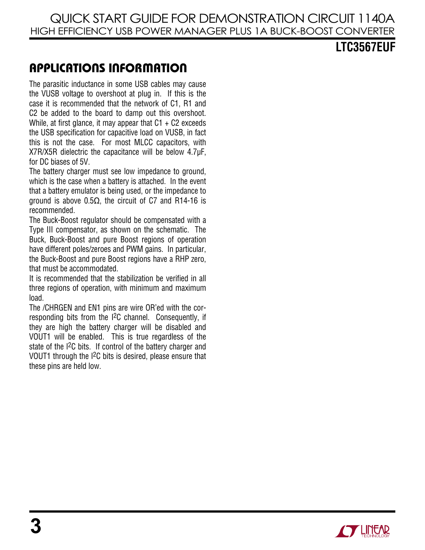### **LTC3567EUF**

## APPLICATIONS INFORMATION

The parasitic inductance in some USB cables may cause the VUSB voltage to overshoot at plug in. If this is the case it is recommended that the network of C1, R1 and C2 be added to the board to damp out this overshoot. While, at first glance, it may appear that  $C1 + C2$  exceeds the USB specification for capacitive load on VUSB, in fact this is not the case. For most MLCC capacitors, with X7R/X5R dielectric the capacitance will be below 4.7μF, for DC biases of 5V.

The battery charger must see low impedance to ground, which is the case when a battery is attached. In the event that a battery emulator is being used, or the impedance to ground is above 0.5Ω, the circuit of C7 and R14-16 is recommended.

The Buck-Boost regulator should be compensated with a Type III compensator, as shown on the schematic. The Buck, Buck-Boost and pure Boost regions of operation have different poles/zeroes and PWM gains. In particular, the Buck-Boost and pure Boost regions have a RHP zero, that must be accommodated.

It is recommended that the stabilization be verified in all three regions of operation, with minimum and maximum load.

The /CHRGEN and EN1 pins are wire OR'ed with the corresponding bits from the I2C channel. Consequently, if they are high the battery charger will be disabled and VOUT1 will be enabled. This is true regardless of the state of the I2C bits. If control of the battery charger and VOUT1 through the I2C bits is desired, please ensure that these pins are held low.

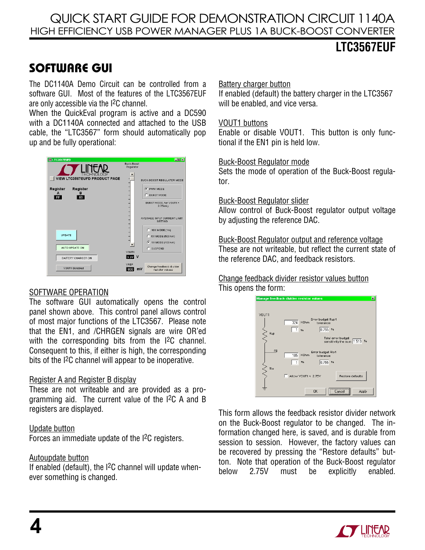## **LTC3567EUF**

# SOFTWARE GUI

The DC1140A Demo Circuit can be controlled from a software GUI. Most of the features of the LTC3567EUF are only accessible via the I2C channel.

When the QuickEval program is active and a DC590 with a DC1140A connected and attached to the USB cable, the "LTC3567" form should automatically pop up and be fully operational:



#### SOFTWARE OPERATION

The software GUI automatically opens the control panel shown above. This control panel allows control of most major functions of the LTC3567. Please note that the EN1, and /CHRGEN signals are wire OR'ed with the corresponding bits from the I<sup>2</sup>C channel. Consequent to this, if either is high, the corresponding bits of the I2C channel will appear to be inoperative.

#### Register A and Register B display

These are not writeable and are provided as a programming aid. The current value of the I2C A and B registers are displayed.

#### Update button

Forces an immediate update of the I2C registers.

### Autoupdate button

If enabled (default), the I2C channel will update whenever something is changed.

#### Battery charger button

If enabled (default) the battery charger in the LTC3567 will be enabled, and vice versa.

#### VOUT1 buttons

Enable or disable VOUT1. This button is only functional if the EN1 pin is held low.

#### Buck-Boost Regulator mode

Sets the mode of operation of the Buck-Boost regulator.

#### Buck-Boost Regulator slider

Allow control of Buck-Boost regulator output voltage by adjusting the reference DAC.

Buck-Boost Regulator output and reference voltage These are not writeable, but reflect the current state of the reference DAC, and feedback resistors.

#### Change feedback divider resistor values button This opens the form:

|                  | Manage feedback divider resistor values                                          | $\blacksquare$ |
|------------------|----------------------------------------------------------------------------------|----------------|
|                  |                                                                                  |                |
| VOUT1            |                                                                                  |                |
|                  | Error budget Rup1<br>324<br>KOhm<br>tolerance                                    |                |
| $\gtrsim$<br>Rup | 0.755<br>%<br>$\frac{1}{2}$                                                      |                |
|                  | Total error budget<br>sensitivity the sum 1.510 %                                |                |
| FB               | Error budget RIo1<br>105<br><b>KOhm</b><br>tolerance                             |                |
|                  | 0.755<br>$\frac{1}{2}$<br>$\frac{1}{2}$                                          |                |
| $\leq$<br>Rlo    | Allow VOUT1 < 2.75V<br>Restore defaults                                          |                |
|                  | ------------------------<br>0K<br>Apply<br>Cancel<br>--------------------------- |                |

This form allows the feedback resistor divider network on the Buck-Boost regulator to be changed. The information changed here, is saved, and is durable from session to session. However, the factory values can be recovered by pressing the "Restore defaults" button. Note that operation of the Buck-Boost regulator below 2.75V must be explicitly enabled.

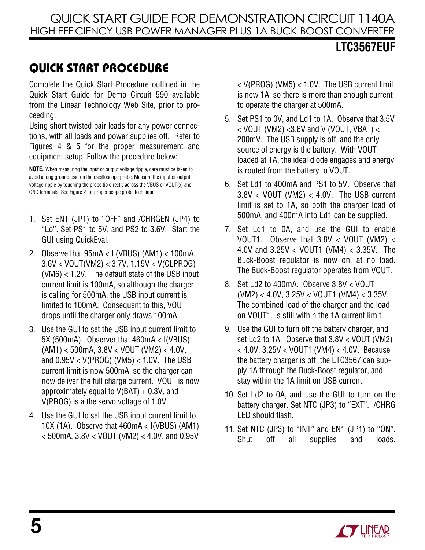# **LTC3567EUF**

# QUICK START PROCEDURE

Complete the Quick Start Procedure outlined in the Quick Start Guide for Demo Circuit 590 available from the Linear Technology Web Site, prior to proceeding.

Using short twisted pair leads for any power connections, with all loads and power supplies off. Refer to Figures 4 & 5 for the proper measurement and equipment setup. Follow the procedure below:

**NOTE.** When measuring the input or output voltage ripple, care must be taken to avoid a long ground lead on the oscilloscope probe. Measure the input or output voltage ripple by touching the probe tip directly across the VBUS or VOUT(x) and GND terminals. See Figure 2 for proper scope probe technique.

- 1. Set EN1 (JP1) to "OFF" and /CHRGEN (JP4) to "Lo". Set PS1 to 5V, and PS2 to 3.6V. Start the GUI using QuickEval.
- 2. Observe that 95mA < I (VBUS) (AM1) < 100mA, 3.6V < VOUT(VM2) < 3.7V, 1.15V < V(CLPROG) (VM6) < 1.2V. The default state of the USB input current limit is 100mA, so although the charger is calling for 500mA, the USB input current is limited to 100mA. Consequent to this, VOUT drops until the charger only draws 100mA.
- 3. Use the GUI to set the USB input current limit to 5X (500mA). Observer that 460mA < I(VBUS) (AM1) < 500mA, 3.8V < VOUT (VM2) < 4.0V, and  $0.95V < V(PROG)$  (VM5)  $< 1.0V$ . The USB current limit is now 500mA, so the charger can now deliver the full charge current. VOUT is now approximately equal to  $V(BAT) + 0.3V$ , and V(PROG) is a the servo voltage of 1.0V.
- 4. Use the GUI to set the USB input current limit to 10X (1A). Observe that 460mA < I(VBUS) (AM1) < 500mA, 3.8V < VOUT (VM2) < 4.0V, and 0.95V

< V(PROG) (VM5) < 1.0V. The USB current limit is now 1A, so there is more than enough current to operate the charger at 500mA.

- 5. Set PS1 to 0V, and Ld1 to 1A. Observe that 3.5V  $<$  VOUT (VM2)  $<$ 3.6V and V (VOUT, VBAT)  $<$ 200mV. The USB supply is off, and the only source of energy is the battery. With VOUT loaded at 1A, the ideal diode engages and energy is routed from the battery to VOUT.
- 6. Set Ld1 to 400mA and PS1 to 5V. Observe that 3.8V < VOUT (VM2) < 4.0V. The USB current limit is set to 1A, so both the charger load of 500mA, and 400mA into Ld1 can be supplied.
- 7. Set Ld1 to 0A, and use the GUI to enable VOUT1. Observe that 3.8V < VOUT (VM2) < 4.0V and 3.25V < VOUT1 (VM4) < 3.35V. The Buck-Boost regulator is now on, at no load. The Buck-Boost regulator operates from VOUT.
- 8. Set Ld2 to 400mA. Observe 3.8V < VOUT (VM2) < 4.0V, 3.25V < VOUT1 (VM4) < 3.35V. The combined load of the charger and the load on VOUT1, is still within the 1A current limit.
- 9. Use the GUI to turn off the battery charger, and set Ld2 to 1A. Observe that 3.8V < VOUT (VM2) < 4.0V, 3.25V < VOUT1 (VM4) < 4.0V. Because the battery charger is off, the LTC3567 can supply 1A through the Buck-Boost regulator, and stay within the 1A limit on USB current.
- 10. Set Ld2 to 0A, and use the GUI to turn on the battery charger. Set NTC (JP3) to "EXT". /CHRG LED should flash.
- 11. Set NTC (JP3) to "INT" and EN1 (JP1) to "ON". Shut off all supplies and loads.

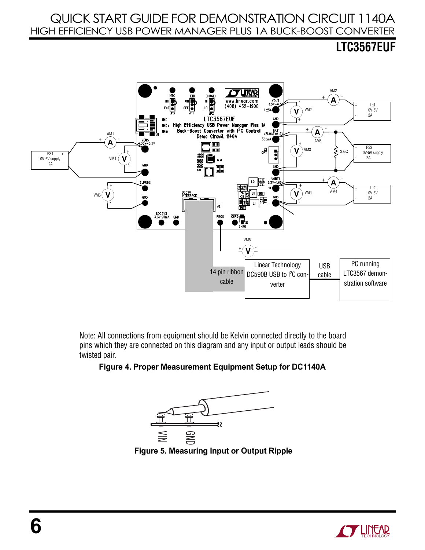# **LTC3567EUF**



Note: All connections from equipment should be Kelvin connected directly to the board pins which they are connected on this diagram and any input or output leads should be twisted pair.

#### **Figure 4. Proper Measurement Equipment Setup for DC1140A**



 **Figure 5. Measuring Input or Output Ripple** 

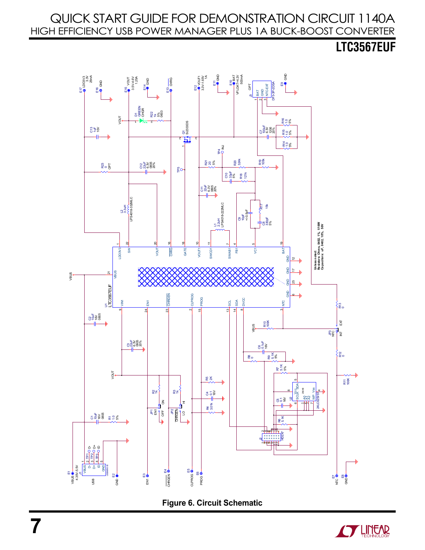**LTC3567EUF** 





**7**